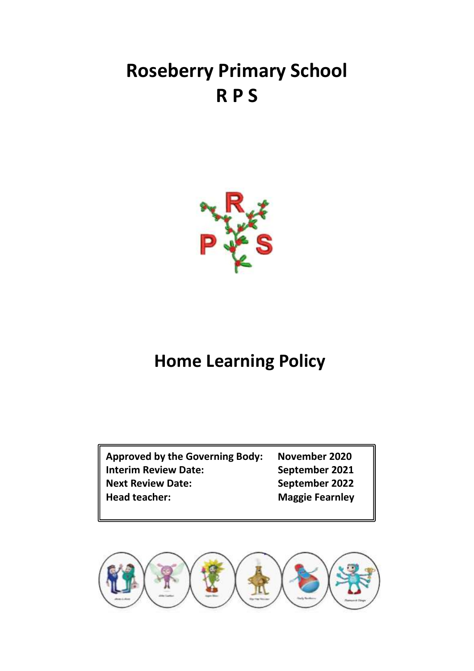# **Roseberry Primary School R P S**

## **Home Learning Policy**

**Approved by the Governing Body: November 2020 Interim Review Date: September 2021 Next Review Date: September 2022 Head teacher: Maggie Fearnley**

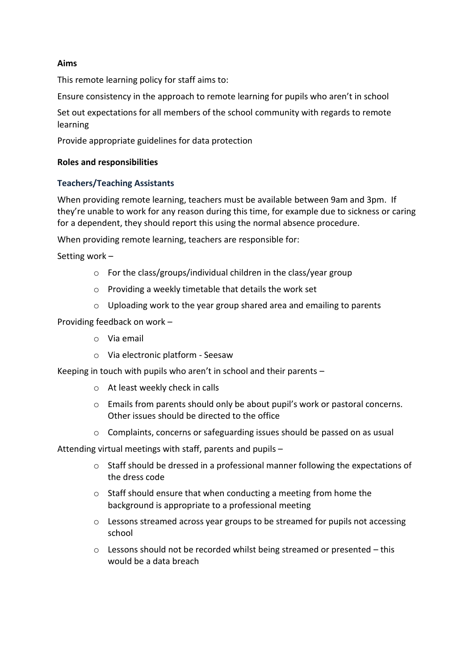#### **Aims**

This remote learning policy for staff aims to:

Ensure consistency in the approach to remote learning for pupils who aren't in school

Set out expectations for all members of the school community with regards to remote learning

Provide appropriate guidelines for data protection

#### **Roles and responsibilities**

#### **Teachers/Teaching Assistants**

When providing remote learning, teachers must be available between 9am and 3pm. If they're unable to work for any reason during this time, for example due to sickness or caring for a dependent, they should report this using the normal absence procedure.

When providing remote learning, teachers are responsible for:

Setting work –

- o For the class/groups/individual children in the class/year group
- o Providing a weekly timetable that details the work set
- o Uploading work to the year group shared area and emailing to parents

Providing feedback on work –

- o Via email
- o Via electronic platform Seesaw

Keeping in touch with pupils who aren't in school and their parents –

- o At least weekly check in calls
- o Emails from parents should only be about pupil's work or pastoral concerns. Other issues should be directed to the office
- o Complaints, concerns or safeguarding issues should be passed on as usual

Attending virtual meetings with staff, parents and pupils –

- o Staff should be dressed in a professional manner following the expectations of the dress code
- o Staff should ensure that when conducting a meeting from home the background is appropriate to a professional meeting
- o Lessons streamed across year groups to be streamed for pupils not accessing school
- $\circ$  Lessons should not be recorded whilst being streamed or presented this would be a data breach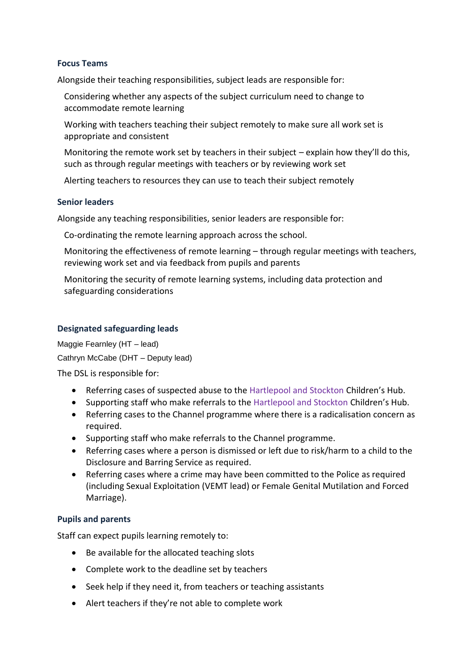#### **Focus Teams**

Alongside their teaching responsibilities, subject leads are responsible for:

- Considering whether any aspects of the subject curriculum need to change to accommodate remote learning
- Working with teachers teaching their subject remotely to make sure all work set is appropriate and consistent
- Monitoring the remote work set by teachers in their subject explain how they'll do this, such as through regular meetings with teachers or by reviewing work set
- Alerting teachers to resources they can use to teach their subject remotely

#### **Senior leaders**

Alongside any teaching responsibilities, senior leaders are responsible for:

Co-ordinating the remote learning approach across the school.

Monitoring the effectiveness of remote learning – through regular meetings with teachers, reviewing work set and via feedback from pupils and parents

Monitoring the security of remote learning systems, including data protection and safeguarding considerations

#### **Designated safeguarding leads**

Maggie Fearnley (HT – lead) Cathryn McCabe (DHT – Deputy lead)

The DSL is responsible for:

- Referring cases of suspected abuse to the Hartlepool and Stockton Children's Hub.
- Supporting staff who make referrals to the Hartlepool and Stockton Children's Hub.
- Referring cases to the Channel programme where there is a radicalisation concern as required.
- Supporting staff who make referrals to the Channel programme.
- Referring cases where a person is dismissed or left due to risk/harm to a child to the Disclosure and Barring Service as required.
- Referring cases where a crime may have been committed to the Police as required (including Sexual Exploitation (VEMT lead) or Female Genital Mutilation and Forced Marriage).

#### **Pupils and parents**

Staff can expect pupils learning remotely to:

- Be available for the allocated teaching slots
- Complete work to the deadline set by teachers
- Seek help if they need it, from teachers or teaching assistants
- Alert teachers if they're not able to complete work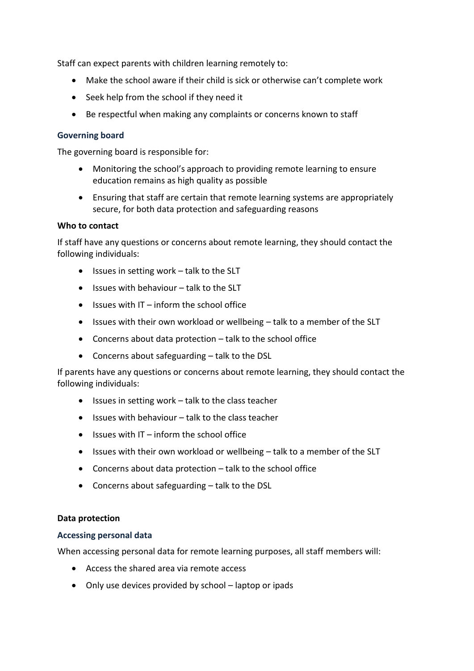Staff can expect parents with children learning remotely to:

- Make the school aware if their child is sick or otherwise can't complete work
- Seek help from the school if they need it
- Be respectful when making any complaints or concerns known to staff

#### **Governing board**

The governing board is responsible for:

- Monitoring the school's approach to providing remote learning to ensure education remains as high quality as possible
- Ensuring that staff are certain that remote learning systems are appropriately secure, for both data protection and safeguarding reasons

#### **Who to contact**

If staff have any questions or concerns about remote learning, they should contact the following individuals:

- Issues in setting work talk to the SLT
- Issues with behaviour talk to the SLT
- $\bullet$  Issues with IT inform the school office
- Issues with their own workload or wellbeing talk to a member of the SLT
- Concerns about data protection talk to the school office
- Concerns about safeguarding talk to the DSL

If parents have any questions or concerns about remote learning, they should contact the following individuals:

- Issues in setting work talk to the class teacher
- Issues with behaviour talk to the class teacher
- Issues with IT inform the school office
- Issues with their own workload or wellbeing talk to a member of the SLT
- Concerns about data protection talk to the school office
- Concerns about safeguarding talk to the DSL

#### **Data protection**

#### **Accessing personal data**

When accessing personal data for remote learning purposes, all staff members will:

- Access the shared area via remote access
- Only use devices provided by school laptop or ipads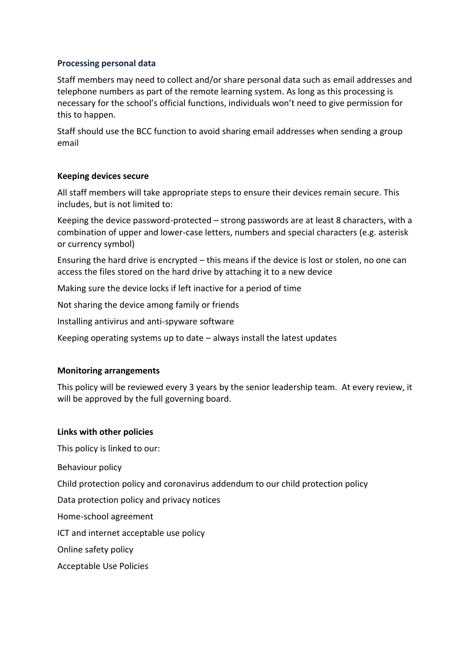#### **Processing personal data**

Staff members may need to collect and/or share personal data such as email addresses and telephone numbers as part of the remote learning system. As long as this processing is necessary for the school's official functions, individuals won't need to give permission for this to happen.

Staff should use the BCC function to avoid sharing email addresses when sending a group email

#### **Keeping devices secure**

All staff members will take appropriate steps to ensure their devices remain secure. This includes, but is not limited to:

Keeping the device password-protected – strong passwords are at least 8 characters, with a combination of upper and lower-case letters, numbers and special characters (e.g. asterisk or currency symbol)

Ensuring the hard drive is encrypted – this means if the device is lost or stolen, no one can access the files stored on the hard drive by attaching it to a new device

Making sure the device locks if left inactive for a period of time

Not sharing the device among family or friends

Installing antivirus and anti-spyware software

Keeping operating systems up to date – always install the latest updates

#### **Monitoring arrangements**

This policy will be reviewed every 3 years by the senior leadership team. At every review, it will be approved by the full governing board.

#### **Links with other policies**

This policy is linked to our:

Behaviour policy

Child protection policy and coronavirus addendum to our child protection policy

Data protection policy and privacy notices

Home-school agreement

ICT and internet acceptable use policy

Online safety policy

Acceptable Use Policies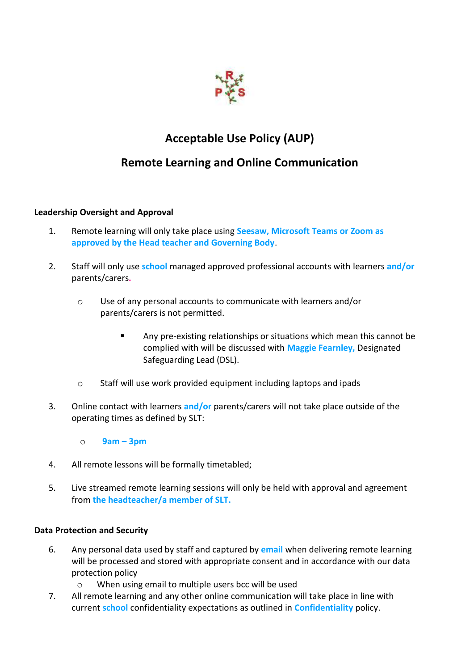

## **Acceptable Use Policy (AUP)**

### **Remote Learning and Online Communication**

#### **Leadership Oversight and Approval**

- 1. Remote learning will only take place using **Seesaw, Microsoft Teams or Zoom as approved by the Head teacher and Governing Body**.
- 2. Staff will only use **school** managed approved professional accounts with learners **and/or** parents/carers**.** 
	- o Use of any personal accounts to communicate with learners and/or parents/carers is not permitted.
		- Any pre-existing relationships or situations which mean this cannot be complied with will be discussed with **Maggie Fearnley,** Designated Safeguarding Lead (DSL).
	- o Staff will use work provided equipment including laptops and ipads
- 3. Online contact with learners **and/or** parents/carers will not take place outside of the operating times as defined by SLT:
	- o **9am – 3pm**
- 4. All remote lessons will be formally timetabled;
- 5. Live streamed remote learning sessions will only be held with approval and agreement from **the headteacher/a member of SLT.**

#### **Data Protection and Security**

- 6. Any personal data used by staff and captured by **email** when delivering remote learning will be processed and stored with appropriate consent and in accordance with our data protection policy
	- o When using email to multiple users bcc will be used
- 7. All remote learning and any other online communication will take place in line with current **school** confidentiality expectations as outlined in **Confidentiality** policy.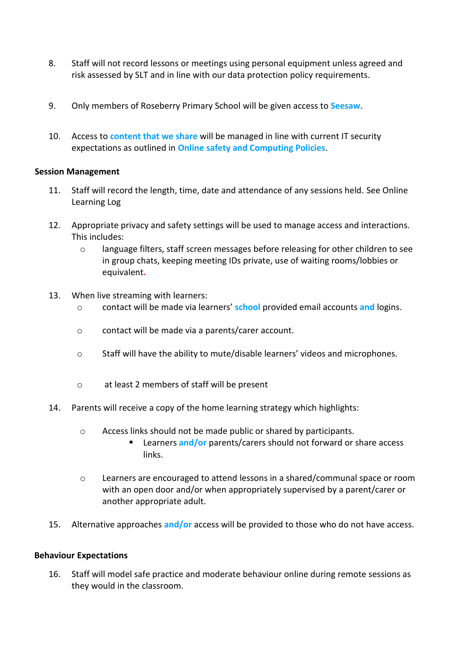- 8. Staff will not record lessons or meetings using personal equipment unless agreed and risk assessed by SLT and in line with our data protection policy requirements.
- 9. Only members of Roseberry Primary School will be given access to **Seesaw**.
- 10. Access to **content that we share** will be managed in line with current IT security expectations as outlined in **Online safety and Computing Policies**.

#### **Session Management**

- 11. Staff will record the length, time, date and attendance of any sessions held. See Online Learning Log
- 12. Appropriate privacy and safety settings will be used to manage access and interactions. This includes:
	- o language filters, staff screen messages before releasing for other children to see in group chats, keeping meeting IDs private, use of waiting rooms/lobbies or equivalent**.**
- 13. When live streaming with learners:
	- o contact will be made via learners' **school** provided email accounts **and** logins.
	- o contact will be made via a parents/carer account.
	- o Staff will have the ability to mute/disable learners' videos and microphones.
	- o at least 2 members of staff will be present
- 14. Parents will receive a copy of the home learning strategy which highlights:
	- o Access links should not be made public or shared by participants.
		- Learners and/or parents/carers should not forward or share access links.
	- o Learners are encouraged to attend lessons in a shared/communal space or room with an open door and/or when appropriately supervised by a parent/carer or another appropriate adult.
- 15. Alternative approaches **and/or** access will be provided to those who do not have access.

#### **Behaviour Expectations**

16. Staff will model safe practice and moderate behaviour online during remote sessions as they would in the classroom.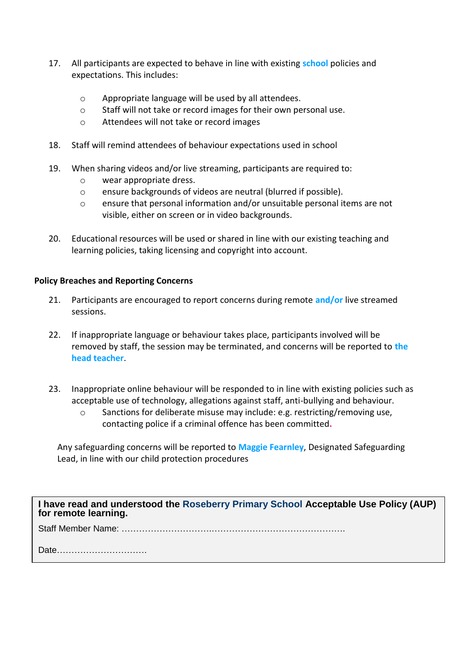- 17. All participants are expected to behave in line with existing **school** policies and expectations. This includes:
	- o Appropriate language will be used by all attendees.
	- o Staff will not take or record images for their own personal use.
	- o Attendees will not take or record images
- 18. Staff will remind attendees of behaviour expectations used in school
- 19. When sharing videos and/or live streaming, participants are required to:
	- o wear appropriate dress.
	- o ensure backgrounds of videos are neutral (blurred if possible).
	- o ensure that personal information and/or unsuitable personal items are not visible, either on screen or in video backgrounds.
- 20. Educational resources will be used or shared in line with our existing teaching and learning policies, taking licensing and copyright into account.

#### **Policy Breaches and Reporting Concerns**

- 21. Participants are encouraged to report concerns during remote **and/or** live streamed sessions.
- 22. If inappropriate language or behaviour takes place, participants involved will be removed by staff, the session may be terminated, and concerns will be reported to **the head teacher**.
- 23. Inappropriate online behaviour will be responded to in line with existing policies such as acceptable use of technology, allegations against staff, anti-bullying and behaviour.
	- o Sanctions for deliberate misuse may include: e.g. restricting/removing use, contacting police if a criminal offence has been committed**.**

Any safeguarding concerns will be reported to **Maggie Fearnley**, Designated Safeguarding Lead, in line with our child protection procedures

**I have read and understood the Roseberry Primary School Acceptable Use Policy (AUP) for remote learning.**

Staff Member Name: ………………………….……………………………………….

Date………………………….